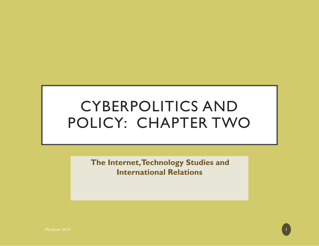# CYBERPOLITICS AND POLICY: CHAPTER TWO

**The Internet, Technology Studies and International Relations**

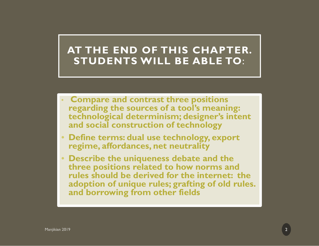### **AT THE END OF THIS CHAPTER. STUDENTS WILL BE ABLE TO**:

- **Compare and contrast three positions regarding the sources of a tool's meaning: technological determinism; designer's intent and social construction of technology**
- • **Define terms: dual use technology, export regime, affordances, net neutrality**
- • **Describe the uniqueness debate and the three positions related to how norms and rules should be derived for the internet: the adoption of unique rules; grafting of old rules. and borrowing from other fields**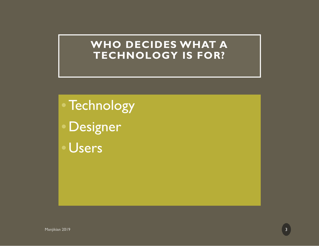#### **WHO DECIDES WHAT A TECHNOLOGY IS FOR?**

3

•Technology

**Designer** 

• Users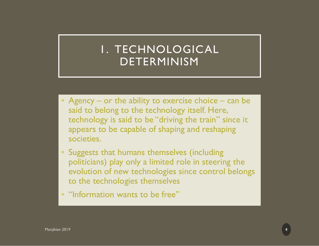# 1. TECHNOLOGICAL DETERMINISM

- Agency or the ability to exercise choice can be said to belong to the technology itself. Here, technology is said to be "driving the train" since it appears to be capable of shaping and reshaping societies.
- $\bullet$  Suggests that humans themselves (including politicians) play only a limited role in steering the evolution of new technologies since control belongs to the technologies themselves
- "Information wants to be free"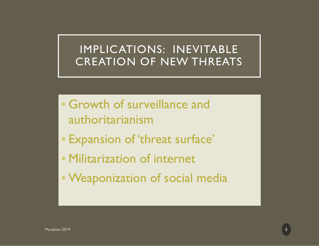## IMPLICATIONS: INEVITABLE CREATION OF NEW THREATS

- Growth of surveillance and authoritarianism
- Expansion of 'threat surface'
- Militarization of internet
- Weaponization of social media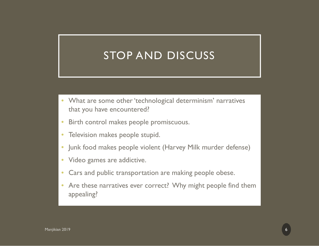# STOP AND DISCUSS

- What are some other 'technological determinism' narratives that you have encountered?
- $\bullet$ Birth control makes people promiscuous.
- $\bullet$ Television makes people stupid.
- $\bullet$ Junk food makes people violent (Harvey Milk murder defense)
- Video games are addictive.
- •Cars and public transportation are making people obese.
- • Are these narratives ever correct? Why might people find them appealing?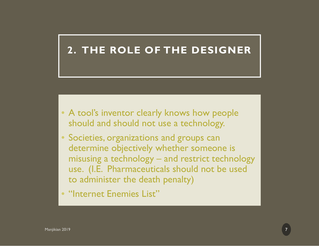#### **2. THE ROLE OF THE DESIGNER**

- A tool's inventor clearly knows how people should and should not use a technology.
- Societies, organizations and groups can determine objectively whether someone is misusing a technology – and restrict technology use. (I.E. Pharmaceuticals should not be used to administer the death penalty)
- "Internet Enemies List"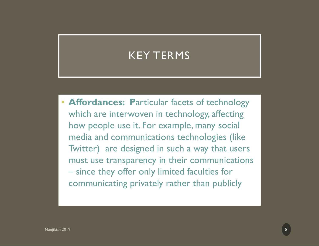# KEY TERMS

• **Affordances: P**articular facets of technology which are interwoven in technology, affecting how people use it. For example, many social media and communications technologies (like Twitter) are designed in such a way that users must use transparency in their communications since they offer only limited faculties for communicating privately rather than publicly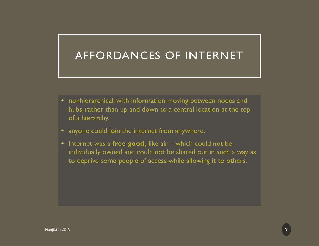# AFFORDANCES OF INTERNET

- nonhierarchical, with information moving between nodes and hubs, rather than up and down to a central location at the top of a hierarchy.
- anyone could join the internet from anywhere.
- Internet was a **free good,** like air which could not be individually owned and could not be shared out in such a way as to deprive some people of access while allowing it to others.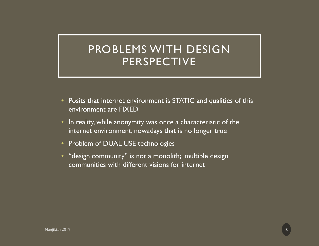# PROBLEMS WITH DESIGN PERSPECTIVE

- • Posits that internet environment is STATIC and qualities of this environment are FIXED
- • In reality, while anonymity was once a characteristic of the internet environment, nowadays that is no longer true
- •Problem of DUAL USE technologies
- • "design community" is not a monolith; multiple design communities with different visions for internet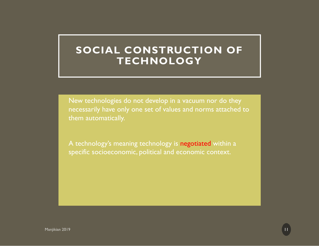### **SOCIAL CONSTRUCTION OF TECHNOLOGY**

 New technologies do not develop in a vacuum nor do they necessarily have only one set of values and norms attached to them automatically.

A technology's meaning technology is negotiated within a specific socioeconomic, political and economic context.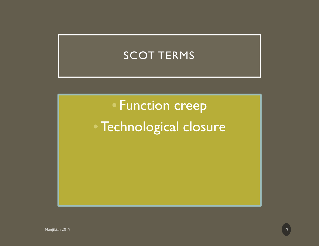# SCOT TERMS

• Function creep •Technological closure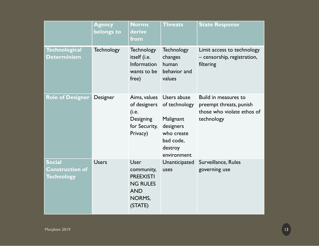|                                                              | <b>Agency</b><br>belongs to | <b>Norms</b><br>derive<br>from                                                                      | <b>Threats</b>                                                                                              | <b>State Response</b>                                                                       |
|--------------------------------------------------------------|-----------------------------|-----------------------------------------------------------------------------------------------------|-------------------------------------------------------------------------------------------------------------|---------------------------------------------------------------------------------------------|
| <b>Technological</b><br><b>Determinism</b>                   | <b>Technology</b>           | <b>Technology</b><br>itself (i.e.<br>Information<br>wants to be<br>free)                            | <b>Technology</b><br>changes<br>human<br>behavior and<br>values                                             | Limit access to technology<br>- censorship, registration,<br>filtering                      |
| <b>Role of Designer</b>                                      | Designer                    | Aims, values<br>of designers<br>(i.e.<br>Designing<br>for Security,<br>Privacy)                     | Users abuse<br>of technology<br>Malignant<br>designers<br>who create<br>bad code,<br>destroy<br>environment | Build in measures to<br>preempt threats, punish<br>those who violate ethos of<br>technology |
| <b>Social</b><br><b>Construction of</b><br><b>Technology</b> | <b>Users</b>                | User<br>community,<br><b>PREEXISTI</b><br><b>NG RULES</b><br><b>AND</b><br><b>NORMS,</b><br>(STATE) | Unanticipated<br>uses                                                                                       | Surveillance, Rules<br>governing use                                                        |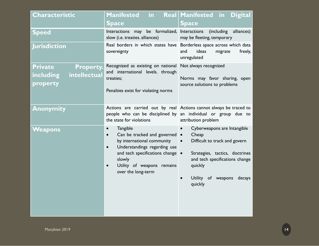| <b>Characteristic</b>                                                              | <b>Manifested</b><br>$\mathsf{in}$<br><b>Space</b>                                                                                                                                                                                         | Real Manifested in<br><b>Digital</b><br><b>Space</b>                                                                                                                                                         |
|------------------------------------------------------------------------------------|--------------------------------------------------------------------------------------------------------------------------------------------------------------------------------------------------------------------------------------------|--------------------------------------------------------------------------------------------------------------------------------------------------------------------------------------------------------------|
| <b>Speed</b>                                                                       | Interactions may be formalized, Interactions<br>slow (i.e. treaties. alliances)                                                                                                                                                            | (including<br>alliances)<br>may be fleeting, temporary                                                                                                                                                       |
| <b>Jurisdiction</b>                                                                | sovereignty                                                                                                                                                                                                                                | Real borders in which states have Borderless space across which data<br>ideas<br>and<br>migrate<br>freely,<br>unregulated                                                                                    |
| <b>Private</b><br><b>Property.</b><br>intellectual<br><b>including</b><br>property | Recognized as existing on national Not always recognized<br>and international levels. through<br>treaties;<br>Penalties exist for violating norms                                                                                          | Norms may favor sharing, open<br>source solutions to problems                                                                                                                                                |
| <b>Anonymity</b>                                                                   | Actions are carried out by real Actions cannot always be traced to<br>the state for violations                                                                                                                                             | people who can be disciplined by an individual or group due to<br>attribution problem                                                                                                                        |
| Weapons                                                                            | <b>Tangible</b><br>Can be tracked and governed .<br>$\bullet$<br>by international community<br>Understandings regarding use<br>$\bullet$<br>and tech specifications change .<br>slowly<br>Utility of weapons remains<br>over the long-term | Cyberweapons are Intangible<br>Cheap<br>Difficult to track and govern<br>$\bullet$<br>Strategies, tactics, doctrines<br>and tech specifications change<br>quickly<br>Utility of weapons<br>decays<br>quickly |